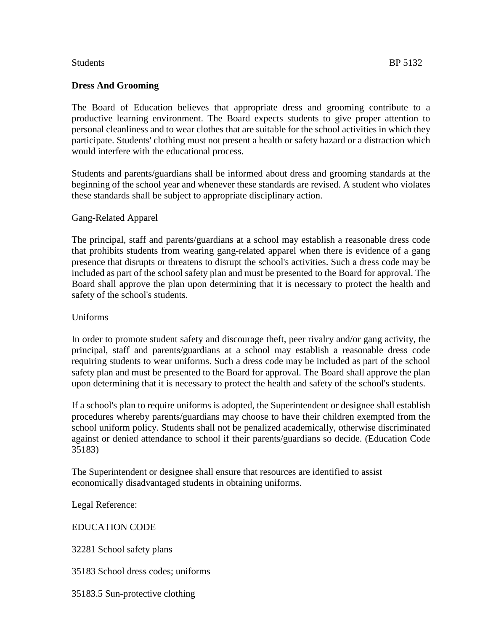## **Dress And Grooming**

The Board of Education believes that appropriate dress and grooming contribute to a productive learning environment. The Board expects students to give proper attention to personal cleanliness and to wear clothes that are suitable for the school activities in which they participate. Students' clothing must not present a health or safety hazard or a distraction which would interfere with the educational process.

Students and parents/guardians shall be informed about dress and grooming standards at the beginning of the school year and whenever these standards are revised. A student who violates these standards shall be subject to appropriate disciplinary action.

### Gang-Related Apparel

The principal, staff and parents/guardians at a school may establish a reasonable dress code that prohibits students from wearing gang-related apparel when there is evidence of a gang presence that disrupts or threatens to disrupt the school's activities. Such a dress code may be included as part of the school safety plan and must be presented to the Board for approval. The Board shall approve the plan upon determining that it is necessary to protect the health and safety of the school's students.

### Uniforms

In order to promote student safety and discourage theft, peer rivalry and/or gang activity, the principal, staff and parents/guardians at a school may establish a reasonable dress code requiring students to wear uniforms. Such a dress code may be included as part of the school safety plan and must be presented to the Board for approval. The Board shall approve the plan upon determining that it is necessary to protect the health and safety of the school's students.

If a school's plan to require uniforms is adopted, the Superintendent or designee shall establish procedures whereby parents/guardians may choose to have their children exempted from the school uniform policy. Students shall not be penalized academically, otherwise discriminated against or denied attendance to school if their parents/guardians so decide. (Education Code [35183\)](http://www.gamutonline.net/district/alameda/displayPolicy/131417/5)

The Superintendent or designee shall ensure that resources are identified to assist economically disadvantaged students in obtaining uniforms.

Legal Reference:

### EDUCATION CODE

[32281](http://www.gamutonline.net/district/alameda/displayPolicy/315705/5) School safety plans

[35183](http://www.gamutonline.net/district/alameda/displayPolicy/131417/5) School dress codes; uniforms

[35183.5](http://www.gamutonline.net/district/alameda/displayPolicy/249119/5) Sun-protective clothing